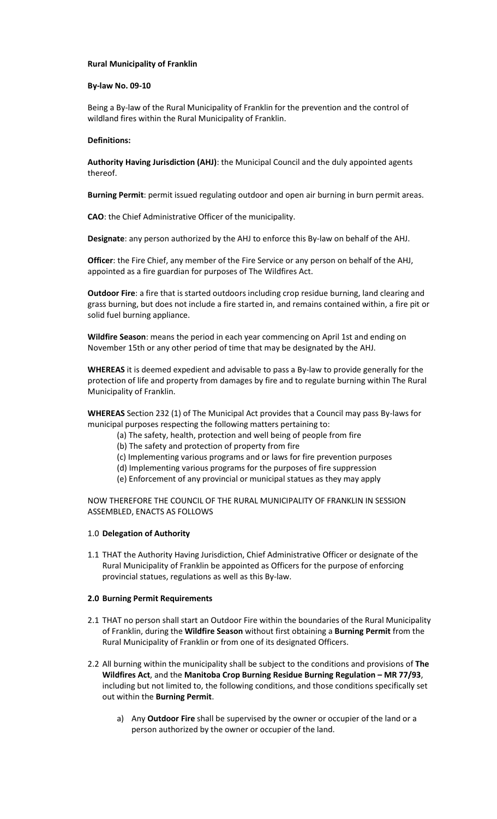## **Rural Municipality of Franklin**

### **By-law No. 09-10**

Being a By-law of the Rural Municipality of Franklin for the prevention and the control of wildland fires within the Rural Municipality of Franklin.

## **Definitions:**

**Authority Having Jurisdiction (AHJ)**: the Municipal Council and the duly appointed agents thereof.

**Burning Permit**: permit issued regulating outdoor and open air burning in burn permit areas.

**CAO**: the Chief Administrative Officer of the municipality.

**Designate**: any person authorized by the AHJ to enforce this By-law on behalf of the AHJ.

**Officer**: the Fire Chief, any member of the Fire Service or any person on behalf of the AHJ, appointed as a fire guardian for purposes of The Wildfires Act.

**Outdoor Fire**: a fire that is started outdoors including crop residue burning, land clearing and grass burning, but does not include a fire started in, and remains contained within, a fire pit or solid fuel burning appliance.

**Wildfire Season**: means the period in each year commencing on April 1st and ending on November 15th or any other period of time that may be designated by the AHJ.

**WHEREAS** it is deemed expedient and advisable to pass a By-law to provide generally for the protection of life and property from damages by fire and to regulate burning within The Rural Municipality of Franklin.

**WHEREAS** Section 232 (1) of The Municipal Act provides that a Council may pass By-laws for municipal purposes respecting the following matters pertaining to:

- (a) The safety, health, protection and well being of people from fire
- (b) The safety and protection of property from fire
- (c) Implementing various programs and or laws for fire prevention purposes
- (d) Implementing various programs for the purposes of fire suppression
- (e) Enforcement of any provincial or municipal statues as they may apply

NOW THEREFORE THE COUNCIL OF THE RURAL MUNICIPALITY OF FRANKLIN IN SESSION ASSEMBLED, ENACTS AS FOLLOWS

#### 1.0 **Delegation of Authority**

1.1 THAT the Authority Having Jurisdiction, Chief Administrative Officer or designate of the Rural Municipality of Franklin be appointed as Officers for the purpose of enforcing provincial statues, regulations as well as this By-law.

#### **2.0 Burning Permit Requirements**

- 2.1 THAT no person shall start an Outdoor Fire within the boundaries of the Rural Municipality of Franklin, during the **Wildfire Season** without first obtaining a **Burning Permit** from the Rural Municipality of Franklin or from one of its designated Officers.
- 2.2 All burning within the municipality shall be subject to the conditions and provisions of **The Wildfires Act**, and the Manitoba Crop Burning Residue Burning Regulation - MR 77/93, including but not limited to, the following conditions, and those conditions specifically set out within the **Burning Permit**.
	- a) Any **Outdoor Fire** shall be supervised by the owner or occupier of the land or a person authorized by the owner or occupier of the land.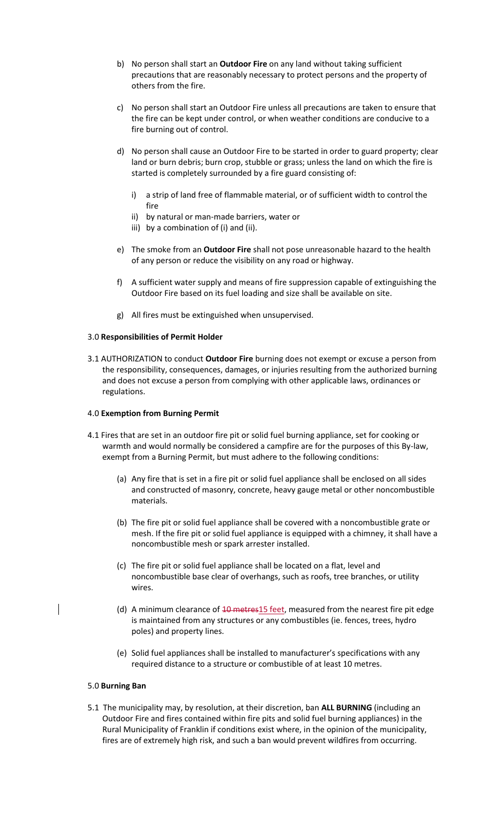- b) No person shall start an **Outdoor Fire** on any land without taking sufficient precautions that are reasonably necessary to protect persons and the property of others from the fire.
- c) No person shall start an Outdoor Fire unless all precautions are taken to ensure that the fire can be kept under control, or when weather conditions are conducive to a fire burning out of control.
- d) No person shall cause an Outdoor Fire to be started in order to guard property; clear land or burn debris; burn crop, stubble or grass; unless the land on which the fire is started is completely surrounded by a fire guard consisting of:
	- i) a strip of land free of flammable material, or of sufficient width to control the fire
	- ii) by natural or man-made barriers, water or
	- iii) by a combination of (i) and (ii).
- e) The smoke from an **Outdoor Fire** shall not pose unreasonable hazard to the health of any person or reduce the visibility on any road or highway.
- f) A sufficient water supply and means of fire suppression capable of extinguishing the Outdoor Fire based on its fuel loading and size shall be available on site.
- g) All fires must be extinguished when unsupervised.

## 3.0 **Responsibilities of Permit Holder**

3.1 AUTHORIZATION to conduct **Outdoor Fire** burning does not exempt or excuse a person from the responsibility, consequences, damages, or injuries resulting from the authorized burning and does not excuse a person from complying with other applicable laws, ordinances or regulations.

## 4.0 **Exemption from Burning Permit**

- 4.1 Fires that are set in an outdoor fire pit or solid fuel burning appliance, set for cooking or warmth and would normally be considered a campfire are for the purposes of this By-law, exempt from a Burning Permit, but must adhere to the following conditions:
	- (a) Any fire that is set in a fire pit or solid fuel appliance shall be enclosed on all sides and constructed of masonry, concrete, heavy gauge metal or other noncombustible materials.
	- (b) The fire pit or solid fuel appliance shall be covered with a noncombustible grate or mesh. If the fire pit or solid fuel appliance is equipped with a chimney, it shall have a noncombustible mesh or spark arrester installed.
	- (c) The fire pit or solid fuel appliance shall be located on a flat, level and noncombustible base clear of overhangs, such as roofs, tree branches, or utility wires.
	- (d) A minimum clearance of  $10$  metres $15$  feet, measured from the nearest fire pit edge is maintained from any structures or any combustibles (ie. fences, trees, hydro poles) and property lines.
	- (e) Solid fuel appliances shall be installed to manufacturer's specifications with any required distance to a structure or combustible of at least 10 metres.

## 5.0 **Burning Ban**

 $\mathbf{I}$ 

5.1 The municipality may, by resolution, at their discretion, ban **ALL BURNING** (including an Outdoor Fire and fires contained within fire pits and solid fuel burning appliances) in the Rural Municipality of Franklin if conditions exist where, in the opinion of the municipality, fires are of extremely high risk, and such a ban would prevent wildfires from occurring.